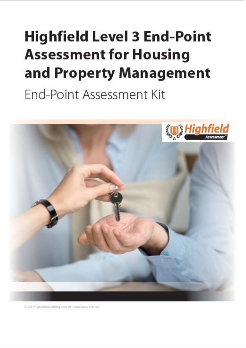# <span id="page-0-1"></span><span id="page-0-0"></span>**Highfield Level 3 End-Point Assessment for Housing** and Property Management End-Point Assessment Kit



is 2021 Highfleid Awarding Body for Compflance Limited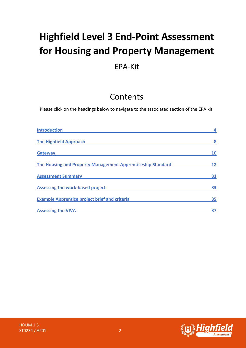# **Highfield Level 3 End-Point Assessment for Housing and Property Management**

### EPA-Kit

# Contents

Please click on the headings below to navigate to the associated section of the EPA kit.

| <b>Introduction</b>                                         |    |
|-------------------------------------------------------------|----|
| <b>The Highfield Approach</b>                               | 8  |
| <b>Gateway</b>                                              | 10 |
| The Housing and Property Management Apprenticeship Standard | 12 |
| <b>Assessment Summary</b>                                   | 31 |
| <b>Assessing the work-based project</b>                     | 33 |
| <b>Example Apprentice project brief and criteria</b>        | 35 |
| <b>Assessing the VIVA</b>                                   |    |

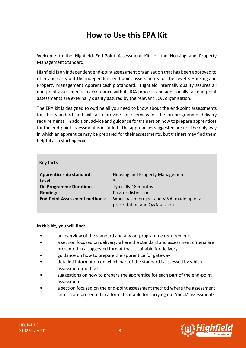# **How to Use this EPA Kit**

Welcome to the Highfield End-Point Assessment Kit for the Housing and Property Management Standard.

Highfield is an independent end-point assessment organisation that has been approved to offer and carry out the independent end-point assessments for the Level 3 Housing and Property Management Apprenticeship Standard. Highfield internally quality assures all end-point assessments in accordance with its IQA process, and additionally, all end-point assessments are externally quality assured by the relevant EQA organisation.

The EPA kit is designed to outline all you need to know about the end-point assessments for this standard and will also provide an overview of the on-programme delivery requirements. In addition**,** advice and guidance for trainers on how to prepare apprentices for the end-point assessment is included. The approaches suggested are not the only way in which an apprentice may be prepared for their assessments, but trainers may find them helpful as a starting point.

| <b>Key facts</b>                     |                                                                           |
|--------------------------------------|---------------------------------------------------------------------------|
| <b>Apprenticeship standard:</b>      | Housing and Property Management                                           |
| Level:                               | 3                                                                         |
| <b>On Programme Duration:</b>        | Typically 18 months                                                       |
| Grading:                             | Pass or distinction                                                       |
| <b>End-Point Assessment methods:</b> | Work-based project and VIVA, made up of a<br>presentation and Q&A session |

#### **In this kit, you will find:**

- an overview of the standard and any on-programme requirements
- a section focused on delivery, where the standard and assessment criteria are presented in a suggested format that is suitable for delivery
- guidance on how to prepare the apprentice for gateway
- detailed information on which part of the standard is assessed by which assessment method
- suggestions on how to prepare the apprentice for each part of the end-point assessment
- a section focused on the end-point assessment method where the assessment criteria are presented in a format suitable for carrying out 'mock' assessments

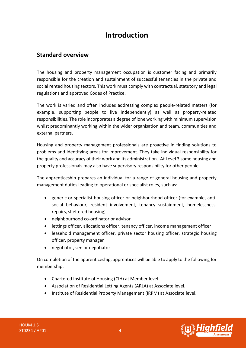# **Introduction**

### <span id="page-3-0"></span>**Standard overview**

The housing and property management occupation is customer facing and primarily responsible for the creation and sustainment of successful tenancies in the private and social rented housing sectors. This work must comply with contractual, statutory and legal regulations and approved Codes of Practice.

The work is varied and often includes addressing complex people-related matters (for example, supporting people to live independently) as well as property-related responsibilities. The role incorporates a degree of lone working with minimum supervision whilst predominantly working within the wider organisation and team, communities and external partners.

Housing and property management professionals are proactive in finding solutions to problems and identifying areas for improvement. They take individual responsibility for the quality and accuracy of their work and its administration. At Level 3 some housing and property professionals may also have supervisory responsibility for other people.

The apprenticeship prepares an individual for a range of general housing and property management duties leading to operational or specialist roles, such as:

- generic or specialist housing officer or neighbourhood officer (for example, antisocial behaviour, resident involvement, tenancy sustainment, homelessness, repairs, sheltered housing)
- neighbourhood co-ordinator or advisor
- lettings officer, allocations officer, tenancy officer, income management officer
- leasehold management officer, private sector housing officer, strategic housing officer, property manager
- negotiator, senior negotiator

On completion of the apprenticeship, apprentices will be able to apply to the following for membership:

- Chartered Institute of Housing (CIH) at Member level.
- Association of Residential Letting Agents (ARLA) at Associate level.
- Institute of Residential Property Management (IRPM) at Associate level.

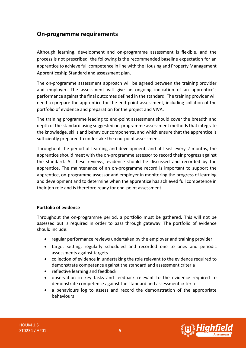### **On-programme requirements**

Although learning, development and on-programme assessment is flexible, and the process is not prescribed, the following is the recommended baseline expectation for an apprentice to achieve full competence in line with the Housing and Property Management Apprenticeship Standard and assessment plan.

The on-programme assessment approach will be agreed between the training provider and employer. The assessment will give an ongoing indication of an apprentice's performance against the final outcomes defined in the standard. The training provider will need to prepare the apprentice for the end-point assessment, including collation of the portfolio of evidence and preparation for the project and VIVA.

The training programme leading to end-point assessment should cover the breadth and depth of the standard using suggested on-programme assessment methods that integrate the knowledge, skills and behaviour components, and which ensure that the apprentice is sufficiently prepared to undertake the end-point assessment.

Throughout the period of learning and development, and at least every 2 months, the apprentice should meet with the on-programme assessor to record their progress against the standard. At these reviews, evidence should be discussed and recorded by the apprentice. The maintenance of an on-programme record is important to support the apprentice, on-programme assessor and employer in monitoring the progress of learning and development and to determine when the apprentice has achieved full competence in their job role and is therefore ready for end-point assessment.

### **Portfolio of evidence**

Throughout the on-programme period, a portfolio must be gathered. This will not be assessed but is required in order to pass through gateway. The portfolio of evidence should include:

- regular performance reviews undertaken by the employer and training provider
- target setting, regularly scheduled and recorded one to ones and periodic assessments against targets
- collection of evidence in undertaking the role relevant to the evidence required to demonstrate competence against the standard and assessment criteria
- reflective learning and feedback
- observation in key tasks and feedback relevant to the evidence required to demonstrate competence against the standard and assessment criteria
- a behaviours log to assess and record the demonstration of the appropriate behaviours

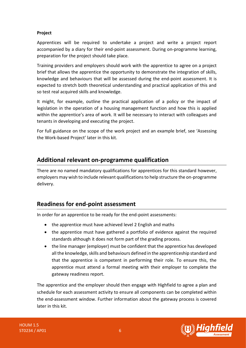### **Project**

Apprentices will be required to undertake a project and write a project report accompanied by a diary for their end-point assessment. During on-programme learning, preparation for the project should take place.

Training providers and employers should work with the apprentice to agree on a project brief that allows the apprentice the opportunity to demonstrate the integration of skills, knowledge and behaviours that will be assessed during the end-point assessment. It is expected to stretch both theoretical understanding and practical application of this and so test real acquired skills and knowledge.

It might, for example, outline the practical application of a policy or the impact of legislation in the operation of a housing management function and how this is applied within the apprentice's area of work. It will be necessary to interact with colleagues and tenants in developing and executing the project.

For full guidance on the scope of the work project and an example brief, see 'Assessing the Work-based Project' later in this kit.

### **Additional relevant on-programme qualification**

There are no named mandatory qualifications for apprentices for this standard however, employers may wish to include relevant qualifications to help structure the on-programme delivery.

### **Readiness for end-point assessment**

In order for an apprentice to be ready for the end-point assessments:

- the apprentice must have achieved level 2 English and maths
- the apprentice must have gathered a portfolio of evidence against the required standards although it does not form part of the grading process.
- the line manager (employer) must be confident that the apprentice has developed all the knowledge, skills and behaviours defined in the apprenticeship standard and that the apprentice is competent in performing their role. To ensure this, the apprentice must attend a formal meeting with their employer to complete the gateway readiness report.

The apprentice and the employer should then engage with Highfield to agree a plan and schedule for each assessment activity to ensure all components can be completed within the end-assessment window. Further information about the gateway process is covered later in this kit.

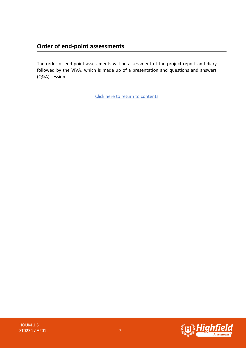### **Order of end-point assessments**

The order of end-point assessments will be assessment of the project report and diary followed by the VIVA, which is made up of a presentation and questions and answers (Q&A) session.

[Click here to return to contents](#page-0-0)

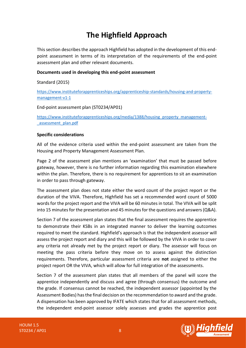# **The Highfield Approach**

<span id="page-7-0"></span>This section describes the approach Highfield has adopted in the development of this endpoint assessment in terms of its interpretation of the requirements of the end-point assessment plan and other relevant documents.

### **Documents used in developing this end-point assessment**

Standard (2015)

[https://www.instituteforapprenticeships.org/apprenticeship-standards/housing-and-property](https://www.instituteforapprenticeships.org/apprenticeship-standards/housing-and-property-management-v1-1)[management-v1-1](https://www.instituteforapprenticeships.org/apprenticeship-standards/housing-and-property-management-v1-1)

### End-point assessment plan (ST0234/AP01)

[https://www.instituteforapprenticeships.org/media/1388/housing\\_property\\_management-](https://www.instituteforapprenticeships.org/media/1388/housing_property_management-_assessment_plan.pdf) [\\_assessment\\_plan.pdf](https://www.instituteforapprenticeships.org/media/1388/housing_property_management-_assessment_plan.pdf)

### **Specific considerations**

All of the evidence criteria used within the end-point assessment are taken from the Housing and Property Management Assessment Plan.

Page 2 of the assessment plan mentions an 'examination' that must be passed before gateway, however, there is no further information regarding this examination elsewhere within the plan. Therefore, there is no requirement for apprentices to sit an examination in order to pass through gateway.

The assessment plan does not state either the word count of the project report or the duration of the VIVA. Therefore, Highfield has set a recommended word count of 5000 words for the project report and the VIVA will be 60 minutes in total. The VIVA will be split into 15 minutes for the presentation and 45 minutes for the questions and answers(Q&A).

Section 7 of the assessment plan states that the final assessment requires the apprentice to demonstrate their KSBs in an integrated manner to deliver the learning outcomes required to meet the standard. Highfield's approach is that the independent assessor will assess the project report and diary and this will be followed by the VIVA in order to cover any criteria not already met by the project report or diary. The assessor will focus on meeting the pass criteria before they move on to assess against the distinction requirements. Therefore, particular assessment criteria are **not** assigned to either the project report OR the VIVA, which will allow for full integration of the assessments.

Section 7 of the assessment plan states that all members of the panel will score the apprentice independently and discuss and agree (through consensus) the outcome and the grade. If consensus cannot be reached, the independent assessor (appointed by the Assessment Bodies) has the final decision on the recommendation to award and the grade. A dispensation has been approved by IFATE which states that for all assessment methods, the independent end-point assessor solely assesses and grades the apprentice post

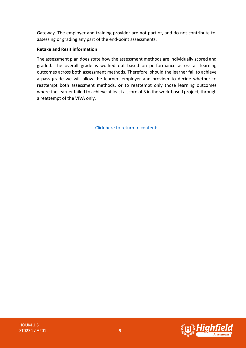Gateway. The employer and training provider are not part of, and do not contribute to, assessing or grading any part of the end-point assessments.

### **Retake and Resit information**

The assessment plan does state how the assessment methods are individually scored and graded. The overall grade is worked out based on performance across all learning outcomes across both assessment methods. Therefore, should the learner fail to achieve a pass grade we will allow the learner, employer and provider to decide whether to reattempt both assessment methods, **or** to reattempt only those learning outcomes where the learner failed to achieve at least a score of 3 in the work-based project, through a reattempt of the VIVA only.

[Click here to return to contents](#page-0-0)

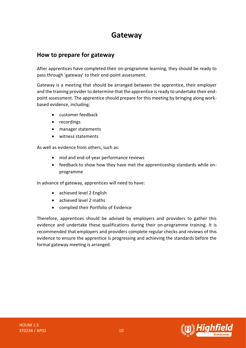# **Gateway**

### <span id="page-9-0"></span>**How to prepare for gateway**

After apprentices have completed their on-programme learning, they should be ready to pass through 'gateway' to their end-point assessment.

Gateway is a meeting that should be arranged between the apprentice, their employer and the training provider to determine that the apprentice is ready to undertake their endpoint assessment. The apprentice should prepare for this meeting by bringing along workbased evidence, including:

- customer feedback
- recordings
- manager statements
- witness statements

As well as evidence from others, such as:

- mid and end-of-year performance reviews
- feedback to show how they have met the apprenticeship standards while onprogramme

In advance of gateway, apprentices will need to have:

- achieved level 2 English
- achieved level 2 maths
- complied their Portfolio of Evidence

Therefore, apprentices should be advised by employers and providers to gather this evidence and undertake these qualifications during their on-programme training. It is recommended that employers and providers complete regular checks and reviews of this evidence to ensure the apprentice is progressing and achieving the standards before the formal gateway meeting is arranged.

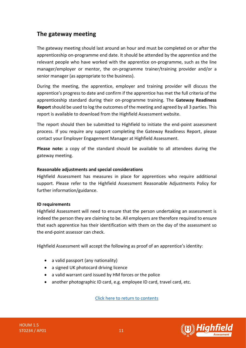### **The gateway meeting**

The gateway meeting should last around an hour and must be completed on or after the apprenticeship on-programme end date. It should be attended by the apprentice and the relevant people who have worked with the apprentice on-programme, such as the line manager/employer or mentor, the on-programme trainer/training provider and/or a senior manager (as appropriate to the business).

During the meeting, the apprentice, employer and training provider will discuss the apprentice's progress to date and confirm if the apprentice has met the full criteria of the apprenticeship standard during their on-programme training. The **Gateway Readiness Report** should be used to log the outcomes of the meeting and agreed by all 3 parties. This report is available to download from the Highfield Assessment website.

The report should then be submitted to Highfield to initiate the end-point assessment process. If you require any support completing the Gateway Readiness Report, please contact your Employer Engagement Manager at Highfield Assessment.

**Please note:** a copy of the standard should be available to all attendees during the gateway meeting.

### **Reasonable adjustments and special considerations**

Highfield Assessment has measures in place for apprentices who require additional support. Please refer to the Highfield Assessment Reasonable Adjustments Policy for further information/guidance.

### **ID requirements**

Highfield Assessment will need to ensure that the person undertaking an assessment is indeed the person they are claiming to be. All employers are therefore required to ensure that each apprentice has their identification with them on the day of the assessment so the end-point assessor can check.

Highfield Assessment will accept the following as proof of an apprentice's identity:

- a valid passport (any nationality)
- a signed UK photocard driving licence
- a valid warrant card issued by HM forces or the police
- another photographic ID card, e.g. employee ID card, travel card, etc.

[Click here to return to contents](#page-0-0)

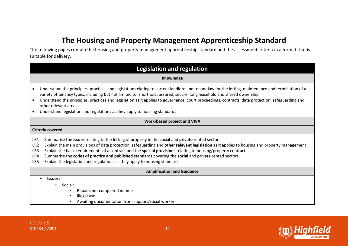# **The Housing and Property Management Apprenticeship Standard**

The following pages contain the housing and property management apprenticeship standard and the assessment criteria in a format that is suitable for delivery.

<span id="page-11-0"></span>

| <b>Legislation and regulation</b>                                                                                                                                                                                                                                                                                                                                                                                                                                                                                                                                                                          |
|------------------------------------------------------------------------------------------------------------------------------------------------------------------------------------------------------------------------------------------------------------------------------------------------------------------------------------------------------------------------------------------------------------------------------------------------------------------------------------------------------------------------------------------------------------------------------------------------------------|
| Knowledge                                                                                                                                                                                                                                                                                                                                                                                                                                                                                                                                                                                                  |
| Understand the principles, practices and legislation relating to current landlord and tenant law for the letting, maintenance and termination of a<br>variety of tenancy types, including but not limited to: shorthold, assured, secure, long leasehold and shared ownership.<br>Understand the principles, practices and legislation as it applies to governance, court proceedings, contracts, data protection, safeguarding and<br>$\bullet$<br>other relevant areas<br>Understand legislation and regulations as they apply to housing standards<br>$\bullet$                                         |
| <b>Work-based project and VIVA</b>                                                                                                                                                                                                                                                                                                                                                                                                                                                                                                                                                                         |
| Criteria covered                                                                                                                                                                                                                                                                                                                                                                                                                                                                                                                                                                                           |
| Summarise the issues relating to the letting of property in the social and private rented sectors<br>LR1<br>Explain the main provisions of data protection, safeguarding and other relevant legislation as it applies to housing and property management<br>LR <sub>2</sub><br>Explain the basic requirements of a contract and the special provisions relating to housing/property contracts<br>LR3<br>Summarise the codes of practice and published standards covering the social and private rented sectors<br>LR4<br>LR5<br>Explain the legislation and regulations as they apply to housing standards |
| <b>Amplification and Guidance</b>                                                                                                                                                                                                                                                                                                                                                                                                                                                                                                                                                                          |
| <b>Issues:</b><br>Social:<br>$\circ$<br>Repairs not completed in time<br>Illegal use<br>п<br>Awaiting documentation from support/social worker                                                                                                                                                                                                                                                                                                                                                                                                                                                             |

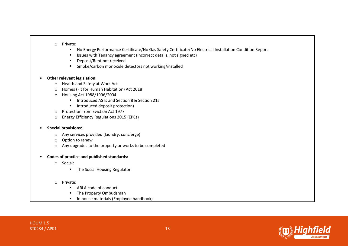#### o Private:

- No Energy Performance Certificate/No Gas Safety Certificate/No Electrical Installation Condition Report
- Issues with Tenancy agreement (incorrect details, not signed etc)
- Deposit/Rent not received
- Smoke/carbon monoxide detectors not working/installed

### • **Other relevant legislation:**

- o Health and Safety at Work Act
- o Homes (Fit for Human Habitation) Act 2018
- o Housing Act 1988/1996/2004
	- Introduced ASTs and Section 8 & Section 21s
	- Introduced deposit protection)
- o Protection from Eviction Act 1977
- o Energy Efficiency Regulations 2015 (EPCs)

### • **Special provisions:**

- o Any services provided (laundry, concierge)
- o Option to renew
- o Any upgrades to the property or works to be completed
- **Codes of practice and published standards:**
	- o Social:
		- The Social Housing Regulator

### o Private:

- ARLA code of conduct
- The Property Ombudsman
- In house materials (Employee handbook)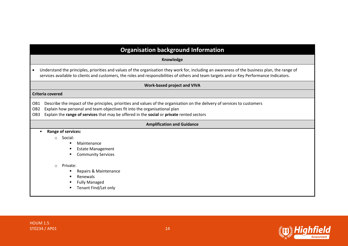### **Organisation background Information**

**Knowledge**

• Understand the principles, priorities and values of the organisation they work for, including an awareness of the business plan, the range of services available to clients and customers, the roles and responsibilities of others and team targets and or Key Performance Indicators.

#### **Work-based project and VIVA**

#### **Criteria covered**

OB1 Describe the impact of the principles, priorities and values of the organisation on the delivery of services to customers

- OB2 Explain how personal and team objectives fit into the organisational plan
- OB3 Explain the **range of services** that may be offered in the **social** or **private** rented sectors

#### **Amplification and Guidance**

#### • **Range of services:**

- o Social:
	- Maintenance
	- Estate Management
	- Community Services

o Private:

- Repairs & Maintenance
- Renewals
- **Fully Managed**
- Tenant Find/Let only



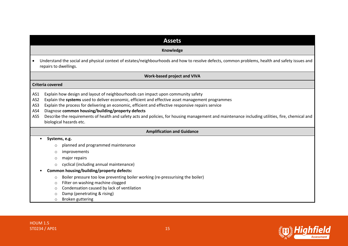| <b>Assets</b>                                                                                                                                                                                                                                                                                                                                                                                                                                                                                                                                                                  |  |  |  |
|--------------------------------------------------------------------------------------------------------------------------------------------------------------------------------------------------------------------------------------------------------------------------------------------------------------------------------------------------------------------------------------------------------------------------------------------------------------------------------------------------------------------------------------------------------------------------------|--|--|--|
| Knowledge                                                                                                                                                                                                                                                                                                                                                                                                                                                                                                                                                                      |  |  |  |
| Understand the social and physical context of estates/neighbourhoods and how to resolve defects, common problems, health and safety issues and<br>٠<br>repairs to dwellings.                                                                                                                                                                                                                                                                                                                                                                                                   |  |  |  |
| <b>Work-based project and VIVA</b>                                                                                                                                                                                                                                                                                                                                                                                                                                                                                                                                             |  |  |  |
| Criteria covered                                                                                                                                                                                                                                                                                                                                                                                                                                                                                                                                                               |  |  |  |
| Explain how design and layout of neighbourhoods can impact upon community safety<br>AS1<br>Explain the systems used to deliver economic, efficient and effective asset management programmes<br>AS <sub>2</sub><br>Explain the process for delivering an economic, efficient and effective responsive repairs service<br>AS3<br>Diagnose common housing/building/property defects<br>AS4<br>Describe the requirements of health and safety acts and policies, for housing management and maintenance including utilities, fire, chemical and<br>AS5<br>biological hazards etc. |  |  |  |
| <b>Amplification and Guidance</b>                                                                                                                                                                                                                                                                                                                                                                                                                                                                                                                                              |  |  |  |
| Systems, e.g.                                                                                                                                                                                                                                                                                                                                                                                                                                                                                                                                                                  |  |  |  |
| planned and programmed maintenance<br>$\circ$                                                                                                                                                                                                                                                                                                                                                                                                                                                                                                                                  |  |  |  |
| improvements<br>$\circ$                                                                                                                                                                                                                                                                                                                                                                                                                                                                                                                                                        |  |  |  |
| major repairs<br>$\circ$                                                                                                                                                                                                                                                                                                                                                                                                                                                                                                                                                       |  |  |  |
| cyclical (including annual maintenance)<br>$\circ$                                                                                                                                                                                                                                                                                                                                                                                                                                                                                                                             |  |  |  |
| Common housing/building/property defects:                                                                                                                                                                                                                                                                                                                                                                                                                                                                                                                                      |  |  |  |
| Boiler pressure too low preventing boiler working (re-pressurising the boiler)<br>$\circ$                                                                                                                                                                                                                                                                                                                                                                                                                                                                                      |  |  |  |
| Filter on washing machine clogged<br>$\circ$                                                                                                                                                                                                                                                                                                                                                                                                                                                                                                                                   |  |  |  |
| Condensation caused by lack of ventilation<br>$\circ$                                                                                                                                                                                                                                                                                                                                                                                                                                                                                                                          |  |  |  |
| Damp (penetrating & rising)<br>$\circ$                                                                                                                                                                                                                                                                                                                                                                                                                                                                                                                                         |  |  |  |
| Broken guttering<br>$\circ$                                                                                                                                                                                                                                                                                                                                                                                                                                                                                                                                                    |  |  |  |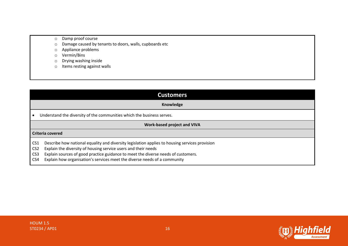- o Damp proof course
- o Damage caused by tenants to doors, walls, cupboards etc
- o Appliance problems
- o Vermin/Bins
- o Drying washing inside
- o Items resting against walls

| <b>Customers</b>           |  |
|----------------------------|--|
| Knowledge                  |  |
| which the business serves. |  |

# • Understand the diversity of the communities

### **Work-based project and VIVA**

### **Criteria covered**

- CS1 Describe how national equality and diversity legislation applies to housing services provision
- CS2 Explain the diversity of housing service users and their needs
- CS3 Explain sources of good practice guidance to meet the diverse needs of customers.
- CS4 Explain how organisation's services meet the diverse needs of a community

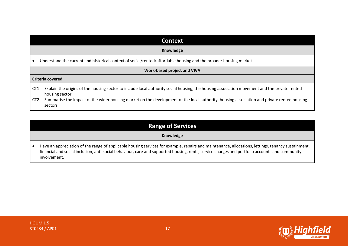|                 | <b>Context</b>                                                                                                                                                  |  |  |
|-----------------|-----------------------------------------------------------------------------------------------------------------------------------------------------------------|--|--|
|                 | Knowledge                                                                                                                                                       |  |  |
|                 | Understand the current and historical context of social/rented/affordable housing and the broader housing market.                                               |  |  |
|                 | <b>Work-based project and VIVA</b>                                                                                                                              |  |  |
|                 | <b>Criteria covered</b>                                                                                                                                         |  |  |
| CT <sub>1</sub> | Explain the origins of the housing sector to include local authority social housing, the housing association movement and the private rented<br>housing sector. |  |  |
| CT <sub>2</sub> | Summarise the impact of the wider housing market on the development of the local authority, housing association and private rented housing<br>sectors           |  |  |

### **Range of Services**

### **Knowledge**

• Have an appreciation of the range of applicable housing services for example, repairs and maintenance, allocations, lettings, tenancy sustainment, financial and social inclusion, anti-social behaviour, care and supported housing, rents, service charges and portfolio accounts and community involvement.

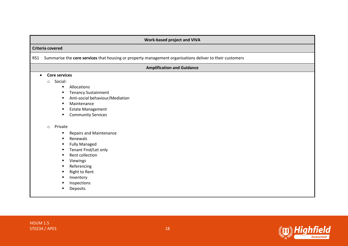|           | Work-based project and VIVA                                                                                                                                                                                                                                                                                                                                                                                                                  |
|-----------|----------------------------------------------------------------------------------------------------------------------------------------------------------------------------------------------------------------------------------------------------------------------------------------------------------------------------------------------------------------------------------------------------------------------------------------------|
|           | Criteria covered                                                                                                                                                                                                                                                                                                                                                                                                                             |
| RS1       | Summarise the core services that housing or property management organisations deliver to their customers                                                                                                                                                                                                                                                                                                                                     |
|           | <b>Amplification and Guidance</b>                                                                                                                                                                                                                                                                                                                                                                                                            |
| $\bullet$ | <b>Core services</b><br>Social:<br>$\circ$<br>Allocations<br>٠<br><b>Tenancy Sustainment</b><br>Anti-social behaviour/Mediation<br>Maintenance<br>٠<br><b>Estate Management</b><br><b>Community Services</b><br>Private<br>$\circ$<br><b>Repairs and Maintenance</b><br>Renewals<br><b>Fully Managed</b><br>Tenant Find/Let only<br>Rent collection<br>п<br>Viewings<br>Referencing<br>Right to Rent<br>Inventory<br>Inspections<br>Deposits |

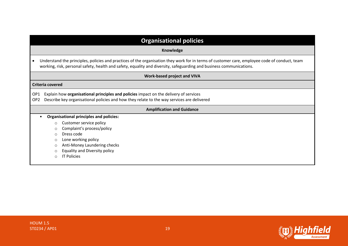| <b>Organisational policies</b>                                                                                                                                                                                                                                                          |  |  |  |
|-----------------------------------------------------------------------------------------------------------------------------------------------------------------------------------------------------------------------------------------------------------------------------------------|--|--|--|
| Knowledge                                                                                                                                                                                                                                                                               |  |  |  |
| Understand the principles, policies and practices of the organisation they work for in terms of customer care, employee code of conduct, team<br>working, risk, personal safety, health and safety, equality and diversity, safeguarding and business communications.                   |  |  |  |
| <b>Work-based project and VIVA</b>                                                                                                                                                                                                                                                      |  |  |  |
| Criteria covered                                                                                                                                                                                                                                                                        |  |  |  |
| Explain how organisational principles and policies impact on the delivery of services<br>OP <sub>1</sub><br>Describe key organisational policies and how they relate to the way services are delivered<br>OP <sub>2</sub>                                                               |  |  |  |
| <b>Amplification and Guidance</b>                                                                                                                                                                                                                                                       |  |  |  |
| <b>Organisational principles and policies:</b><br>Customer service policy<br>$\circ$<br>Complaint's process/policy<br>$\circ$<br>Dress code<br>$\circ$<br>Lone working policy<br>$\circ$<br>Anti-Money Laundering checks<br>$\circ$<br><b>Equality and Diversity policy</b><br>$\Omega$ |  |  |  |
| <b>IT Policies</b><br>$\cap$                                                                                                                                                                                                                                                            |  |  |  |

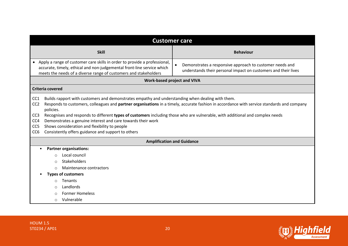|                                                                                                                                                                                                                                                                                                                                                                                                                                                                                                                                        | <b>Customer care</b>                                                                                                                       |
|----------------------------------------------------------------------------------------------------------------------------------------------------------------------------------------------------------------------------------------------------------------------------------------------------------------------------------------------------------------------------------------------------------------------------------------------------------------------------------------------------------------------------------------|--------------------------------------------------------------------------------------------------------------------------------------------|
| <b>Skill</b>                                                                                                                                                                                                                                                                                                                                                                                                                                                                                                                           | <b>Behaviour</b>                                                                                                                           |
| Apply a range of customer care skills in order to provide a professional,<br>$\bullet$<br>accurate, timely, ethical and non-judgemental front-line service which<br>meets the needs of a diverse range of customers and stakeholders                                                                                                                                                                                                                                                                                                   | Demonstrates a responsive approach to customer needs and<br>$\bullet$<br>understands their personal impact on customers and their lives    |
|                                                                                                                                                                                                                                                                                                                                                                                                                                                                                                                                        | <b>Work-based project and VIVA</b>                                                                                                         |
| Criteria covered                                                                                                                                                                                                                                                                                                                                                                                                                                                                                                                       |                                                                                                                                            |
| Builds rapport with customers and demonstrates empathy and understanding when dealing with them.<br>CC <sub>1</sub><br>CC <sub>2</sub><br>policies.<br>Recognises and responds to different types of customers including those who are vulnerable, with additional and complex needs<br>CC <sub>3</sub><br>CC <sub>4</sub><br>Demonstrates a genuine interest and care towards their work<br>Shows consideration and flexibility to people<br>CC <sub>5</sub><br>Consistently offers guidance and support to others<br>CC <sub>6</sub> | Responds to customers, colleagues and partner organisations in a timely, accurate fashion in accordance with service standards and company |
|                                                                                                                                                                                                                                                                                                                                                                                                                                                                                                                                        | <b>Amplification and Guidance</b>                                                                                                          |
| <b>Partner organisations:</b><br>$\bullet$<br>Local council<br>$\circ$<br>Stakeholders<br>$\bigcirc$<br>Maintenance contractors<br>$\bigcap$<br><b>Types of customers</b><br>Tenants<br>$\circ$<br>Landlords<br>$\circ$<br><b>Former Homeless</b><br>$\circ$<br>Vulnerable<br>$\circ$                                                                                                                                                                                                                                                  |                                                                                                                                            |

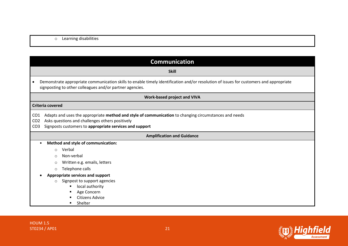### o Learning disabilities

| <b>Communication</b>                                                                                                                                                                                                                                                         |  |  |  |
|------------------------------------------------------------------------------------------------------------------------------------------------------------------------------------------------------------------------------------------------------------------------------|--|--|--|
| <b>Skill</b>                                                                                                                                                                                                                                                                 |  |  |  |
| Demonstrate appropriate communication skills to enable timely identification and/or resolution of issues for customers and appropriate<br>$\bullet$<br>signposting to other colleagues and/or partner agencies.                                                              |  |  |  |
| <b>Work-based project and VIVA</b>                                                                                                                                                                                                                                           |  |  |  |
| Criteria covered                                                                                                                                                                                                                                                             |  |  |  |
| Adapts and uses the appropriate method and style of communication to changing circumstances and needs<br>CO <sub>1</sub><br>Asks questions and challenges others positively<br>CO <sub>2</sub><br>Signposts customers to appropriate services and support<br>CO <sub>3</sub> |  |  |  |
| <b>Amplification and Guidance</b>                                                                                                                                                                                                                                            |  |  |  |
| Method and style of communication:<br>$\bullet$                                                                                                                                                                                                                              |  |  |  |
| Verbal<br>$\circ$                                                                                                                                                                                                                                                            |  |  |  |
| Non-verbal<br>$\circ$                                                                                                                                                                                                                                                        |  |  |  |
| Written e.g. emails, letters<br>$\circ$                                                                                                                                                                                                                                      |  |  |  |
| Telephone calls<br>$\circ$                                                                                                                                                                                                                                                   |  |  |  |
| Appropriate services and support<br>Signpost to support agencies<br>$\circ$<br>local authority<br>п<br>Age Concern<br>п<br><b>Citizens Advice</b><br>Shelter<br>п                                                                                                            |  |  |  |

HOUM 1.5 ST0234 / AP01 21

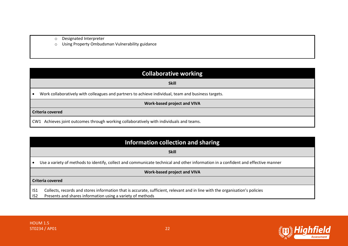- o Designated Interpreter
- o Using Property Ombudsman Vulnerability guidance

|  | <b>Collaborative working</b> |  |  |
|--|------------------------------|--|--|
|  |                              |  |  |

**Skill**

• Work collaboratively with colleagues and partners to achieve individual, team and business targets.

**Work-based project and VIVA**

#### **Criteria covered**

CW1 Achieves joint outcomes through working collaboratively with individuals and teams.

### **Information collection and sharing**

#### **Skill**

• Use a variety of methods to identify, collect and communicate technical and other information in a confident and effective manner

#### **Work-based project and VIVA**

#### **Criteria covered**

IS1 Collects, records and stores information that is accurate, sufficient, relevant and in line with the organisation's policies

IS2 Presents and shares information using a variety of methods

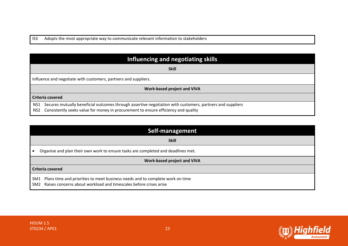IS3 Adopts the most appropriate way to communicate relevant information to stakeholders

| Influencing and negotiating skills                                                                                                                                                                            |
|---------------------------------------------------------------------------------------------------------------------------------------------------------------------------------------------------------------|
| <b>Skill</b>                                                                                                                                                                                                  |
| Influence and negotiate with customers, partners and suppliers.                                                                                                                                               |
| <b>Work-based project and VIVA</b>                                                                                                                                                                            |
| Criteria covered                                                                                                                                                                                              |
| Secures mutually beneficial outcomes through assertive negotiation with customers, partners and suppliers<br>NS1<br>Consistently seeks value for money in procurement to ensure efficiency and quality<br>NS2 |

|                         | Self-management                                                                                                                                    |
|-------------------------|----------------------------------------------------------------------------------------------------------------------------------------------------|
|                         | <b>Skill</b>                                                                                                                                       |
|                         | Organise and plan their own work to ensure tasks are completed and deadlines met.                                                                  |
|                         | <b>Work-based project and VIVA</b>                                                                                                                 |
| <b>Criteria covered</b> |                                                                                                                                                    |
| SM1<br>SM <sub>2</sub>  | Plans time and priorities to meet business needs and to complete work on time<br>Raises concerns about workload and timescales before crises arise |

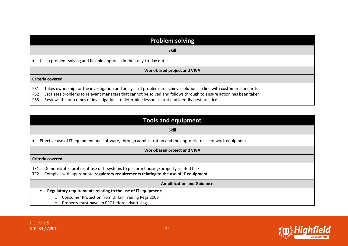|                                           | <b>Problem solving</b>                                                                                                                                                                                                                                                                                                                    |  |
|-------------------------------------------|-------------------------------------------------------------------------------------------------------------------------------------------------------------------------------------------------------------------------------------------------------------------------------------------------------------------------------------------|--|
|                                           | <b>Skill</b>                                                                                                                                                                                                                                                                                                                              |  |
|                                           | Use a problem-solving and flexible approach in their day-to-day duties                                                                                                                                                                                                                                                                    |  |
|                                           | <b>Work-based project and VIVA</b>                                                                                                                                                                                                                                                                                                        |  |
|                                           | <b>Criteria covered</b>                                                                                                                                                                                                                                                                                                                   |  |
| PS1<br>PS <sub>2</sub><br>PS <sub>3</sub> | Takes ownership for the investigation and analysis of problems to achieve solutions in line with customer standards<br>Escalates problems to relevant managers that cannot be solved and follows through to ensure action has been taken<br>Reviews the outcomes of investigations to determine lessons learnt and identify best practice |  |

|                                    | <b>Tools and equipment</b>                                                                                                                                                   |
|------------------------------------|------------------------------------------------------------------------------------------------------------------------------------------------------------------------------|
|                                    | <b>Skill</b>                                                                                                                                                                 |
|                                    | Effective use of IT equipment and software, through administration and the appropriate use of work equipment                                                                 |
|                                    | <b>Work-based project and VIVA</b>                                                                                                                                           |
| <b>Criteria covered</b>            |                                                                                                                                                                              |
| TE <sub>1</sub><br>TE <sub>2</sub> | Demonstrates proficient use of IT systems to perform housing/property related tasks<br>Complies with appropriate regulatory requirements relating to the use of IT equipment |
|                                    | <b>Amplification and Guidance</b>                                                                                                                                            |
|                                    | Regulatory requirements relating to the use of IT equipment:                                                                                                                 |
|                                    | <b>Consumer Protection from Unfair Trading Regs 2008</b><br>$\circ$                                                                                                          |
|                                    | Property must have an EPC before advertising<br>$\circ$                                                                                                                      |

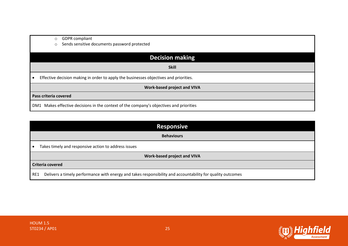| <b>GDPR</b> compliant<br>$\circ$                                                        |
|-----------------------------------------------------------------------------------------|
| Sends sensitive documents password protected<br>$\circ$                                 |
|                                                                                         |
| <b>Decision making</b>                                                                  |
| <b>Skill</b>                                                                            |
| Effective decision making in order to apply the businesses objectives and priorities.   |
| <b>Work-based project and VIVA</b>                                                      |
| Pass criteria covered                                                                   |
| DM1 Makes effective decisions in the context of the company's objectives and priorities |

|     | <b>Responsive</b>                                                                                          |  |
|-----|------------------------------------------------------------------------------------------------------------|--|
|     | <b>Behaviours</b>                                                                                          |  |
|     | Takes timely and responsive action to address issues                                                       |  |
|     | Work-based project and VIVA                                                                                |  |
|     | Criteria covered                                                                                           |  |
| RE1 | Delivers a timely performance with energy and takes responsibility and accountability for quality outcomes |  |

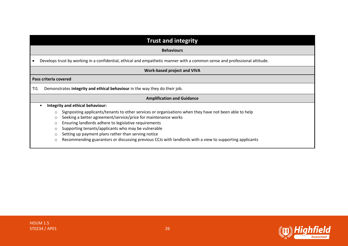| <b>Trust and integrity</b>                                                                                                |
|---------------------------------------------------------------------------------------------------------------------------|
| <b>Behaviours</b>                                                                                                         |
| Develops trust by working in a confidential, ethical and empathetic manner with a common sense and professional attitude. |
| <b>Work-based project and VIVA</b>                                                                                        |
| Pass criteria covered                                                                                                     |
| Demonstrates integrity and ethical behaviour in the way they do their job.<br>T <sub>11</sub>                             |
| <b>Amplification and Guidance</b>                                                                                         |
| Integrity and ethical behaviour:                                                                                          |
| Signposting applicants/tenants to other services or organisations when they have not been able to help<br>$\circ$         |
| Seeking a better agreement/service/price for maintenance works<br>$\circ$                                                 |
| Ensuring landlords adhere to legislative requirements<br>$\circ$                                                          |
| Supporting tenants/applicants who may be vulnerable<br>$\circ$                                                            |
| Setting up payment plans rather than serving notice<br>$\circ$                                                            |
| Recommending guarantors or discussing previous CCJs with landlords with a view to supporting applicants<br>$\circ$        |



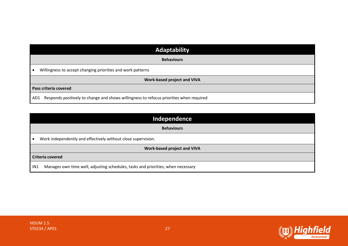| Adaptability                                                                                   |
|------------------------------------------------------------------------------------------------|
| <b>Behaviours</b>                                                                              |
| Willingness to accept changing priorities and work patterns<br>∣∙                              |
| <b>Work-based project and VIVA</b>                                                             |
| Pass criteria covered                                                                          |
| Responds positively to change and shows willingness to refocus priorities when required<br>AD1 |

| Independence                                                                                        |  |
|-----------------------------------------------------------------------------------------------------|--|
| <b>Behaviours</b>                                                                                   |  |
| Work independently and effectively without close supervision.                                       |  |
| <b>Work-based project and VIVA</b>                                                                  |  |
| <b>Criteria covered</b>                                                                             |  |
| Manages own time well, adjusting schedules, tasks and priorities, when necessary<br>IN <sub>1</sub> |  |

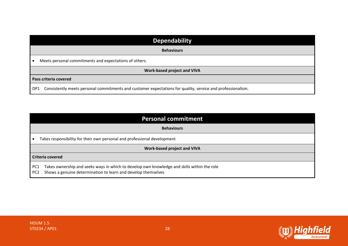|                       | <b>Dependability</b>                                                                                        |
|-----------------------|-------------------------------------------------------------------------------------------------------------|
|                       | <b>Behaviours</b>                                                                                           |
|                       | Meets personal commitments and expectations of others.                                                      |
|                       | Work-based project and VIVA                                                                                 |
| Pass criteria covered |                                                                                                             |
| DP1                   | Consistently meets personal commitments and customer expectations for quality, service and professionalism. |

|                        | <b>Personal commitment</b>                                                                                                                                   |
|------------------------|--------------------------------------------------------------------------------------------------------------------------------------------------------------|
|                        | <b>Behaviours</b>                                                                                                                                            |
|                        | Takes responsibility for their own personal and professional development                                                                                     |
|                        | <b>Work-based project and VIVA</b>                                                                                                                           |
|                        | Criteria covered                                                                                                                                             |
| PC1<br>PC <sub>2</sub> | Takes ownership and seeks ways in which to develop own knowledge and skills within the role<br>Shows a genuine determination to learn and develop themselves |

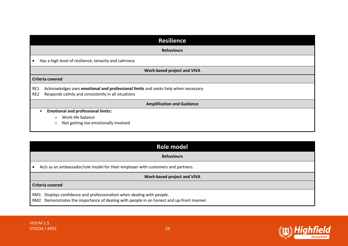| <b>Resilience</b>                                                                                                                                                |
|------------------------------------------------------------------------------------------------------------------------------------------------------------------|
| <b>Behaviours</b>                                                                                                                                                |
| Has a high level of resilience, tenacity and calmness                                                                                                            |
| <b>Work-based project and VIVA</b>                                                                                                                               |
| <b>Criteria covered</b>                                                                                                                                          |
| Acknowledges own emotional and professional limits and seeks help when necessary<br>RE1<br>Responds calmly and consistently in all situations<br>RE <sub>2</sub> |
| <b>Amplification and Guidance</b>                                                                                                                                |
| <b>Emotional and professional limits:</b><br>Work-life balance<br>$\circ$<br>Not getting too emotionally involved<br>$\circ$                                     |

| Role model                                                                                                                                                        |  |
|-------------------------------------------------------------------------------------------------------------------------------------------------------------------|--|
| <b>Behaviours</b>                                                                                                                                                 |  |
| • Acts as an ambassador/role model for their employer with customers and partners.                                                                                |  |
| <b>Work-based project and VIVA</b>                                                                                                                                |  |
| Criteria covered                                                                                                                                                  |  |
| RM1 Displays confidence and professionalism when dealing with people.<br>RM2 Demonstrates the importance of dealing with people in an honest and up-front manner. |  |

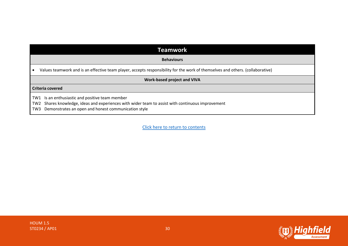### **Teamwork**

#### **Behaviours**

• Values teamwork and is an effective team player, accepts responsibility for the work of themselves and others. (collaborative)

#### **Work-based project and VIVA**

#### **Criteria covered**

TW1 Is an enthusiastic and positive team member

TW2 Shares knowledge, ideas and experiences with wider team to assist with continuous improvement

TW3 Demonstrates an open and honest communication style

[Click here to return to contents](#page-0-1)

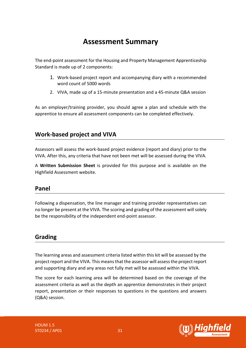# **Assessment Summary**

<span id="page-30-0"></span>The end-point assessment for the Housing and Property Management Apprenticeship Standard is made up of 2 components:

- 1. Work-based project report and accompanying diary with a recommended word count of 5000 words
- 2. VIVA, made up of a 15-minute presentation and a 45-minute Q&A session

As an employer/training provider, you should agree a plan and schedule with the apprentice to ensure all assessment components can be completed effectively.

### **Work-based project and VIVA**

Assessors will assess the work-based project evidence (report and diary) prior to the VIVA. After this, any criteria that have not been met will be assessed during the VIVA.

A **Written Submission Sheet** is provided for this purpose and is available on the Highfield Assessment website.

### **Panel**

Following a dispensation, the line manager and training provider representatives can no longer be present at the VIVA. The scoring and grading of the assessment will solely be the responsibility of the independent end-point assessor.

### **Grading**

The learning areas and assessment criteria listed within this kit will be assessed by the project report and the VIVA. This means that the assessor will assess the project report and supporting diary and any areas not fully met will be assessed within the VIVA.

The score for each learning area will be determined based on the coverage of the assessment criteria as well as the depth an apprentice demonstrates in their project report, presentation or their responses to questions in the questions and answers (Q&A) session.

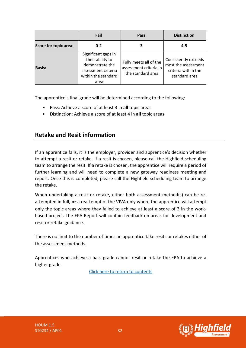|                              | Fail                                                                                                             | Pass                                                                  | <b>Distinction</b>                                                                  |
|------------------------------|------------------------------------------------------------------------------------------------------------------|-----------------------------------------------------------------------|-------------------------------------------------------------------------------------|
| <b>Score for topic area:</b> | $0 - 2$                                                                                                          | 3                                                                     | $4 - 5$                                                                             |
| <b>Basis:</b>                | Significant gaps in<br>their ability to<br>demonstrate the<br>assessment criteria<br>within the standard<br>area | Fully meets all of the<br>assessment criteria in<br>the standard area | Consistently exceeds<br>most the assessment<br>criteria within the<br>standard area |

The apprentice's final grade will be determined according to the following:

- Pass: Achieve a score of at least 3 in **all** topic areas
- Distinction: Achieve a score of at least 4 in **all** topic areas

### **Retake and Resit information**

If an apprentice fails, it is the employer, provider and apprentice's decision whether to attempt a resit or retake. If a resit is chosen, please call the Highfield scheduling team to arrange the resit. If a retake is chosen, the apprentice will require a period of further learning and will need to complete a new gateway readiness meeting and report. Once this is completed, please call the Highfield scheduling team to arrange the retake.

When undertaking a resit or retake, either both assessment method(s) can be reattempted in full, **or** a reattempt of the VIVA only where the apprentice will attempt only the topic areas where they failed to achieve at least a score of 3 in the workbased project. The EPA Report will contain feedback on areas for development and resit or retake guidance.

There is no limit to the number of times an apprentice take resits or retakes either of the assessment methods.

Apprentices who achieve a pass grade cannot resit or retake the EPA to achieve a higher grade.

[Click here to return to contents](#page-0-0)

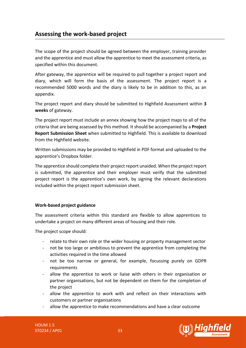### <span id="page-32-0"></span>**Assessing the work-based project**

The scope of the project should be agreed between the employer, training provider and the apprentice and must allow the apprentice to meet the assessment criteria, as specified within this document.

After gateway, the apprentice will be required to pull together a project report and diary, which will form the basis of the assessment. The project report is a recommended 5000 words and the diary is likely to be in addition to this, as an appendix.

The project report and diary should be submitted to Highfield Assessment within **3 weeks** of gateway.

The project report must include an annex showing how the project maps to all of the criteria that are being assessed by this method. It should be accompanied by a **Project Report Submission Sheet** when submitted to Highfield. This is available to download from the Highfield website.

Written submissions may be provided to Highfield in PDF format and uploaded to the apprentice's Dropbox folder.

The apprentice should complete their project report unaided. When the project report is submitted, the apprentice and their employer must verify that the submitted project report is the apprentice's own work, by signing the relevant declarations included within the project report submission sheet.

#### **Work-based project guidance**

The assessment criteria within this standard are flexible to allow apprentices to undertake a project on many different areas of housing and their role.

The project scope should:

- relate to their own role or the wider housing or property management sector
- not be too large or ambitious to prevent the apprentice from completing the activities required in the time allowed
- not be too narrow or general, for example, focussing purely on GDPR requirements
- allow the apprentice to work or liaise with others in their organisation or partner organisations, but not be dependent on them for the completion of the project
- allow the apprentice to work with and reflect on their interactions with customers or partner organisations
- allow the apprentice to make recommendations and have a clear outcome

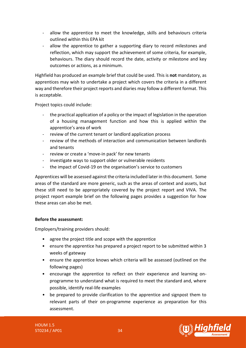- allow the apprentice to meet the knowledge, skills and behaviours criteria outlined within this EPA kit
- allow the apprentice to gather a supporting diary to record milestones and reflection, which may support the achievement of some criteria, for example, behaviours. The diary should record the date, activity or milestone and key outcomes or actions, as a minimum.

Highfield has produced an example brief that could be used. This is **not** mandatory, as apprentices may wish to undertake a project which covers the criteria in a different way and therefore their project reports and diaries may follow a different format. This is acceptable.

Project topics could include:

- the practical application of a policy or the impact of legislation in the operation of a housing management function and how this is applied within the apprentice's area of work
- review of the current tenant or landlord application process
- review of the methods of interaction and communication between landlords and tenants
- review or create a 'move-in pack' for new tenants
- investigate ways to support older or vulnerable residents
- the impact of Covid-19 on the organisation's service to customers

Apprentices will be assessed against the criteria included later in this document. Some areas of the standard are more generic, such as the areas of context and assets, but these still need to be appropriately covered by the project report and VIVA. The project report example brief on the following pages provides a suggestion for how these areas can also be met.

### **Before the assessment:**

Employers/training providers should:

- agree the project title and scope with the apprentice
- ensure the apprentice has prepared a project report to be submitted within 3 weeks of gateway
- ensure the apprentice knows which criteria will be assessed (outlined on the following pages)
- encourage the apprentice to reflect on their experience and learning onprogramme to understand what is required to meet the standard and, where possible, identify real-life examples
- be prepared to provide clarification to the apprentice and signpost them to relevant parts of their on-programme experience as preparation for this assessment.

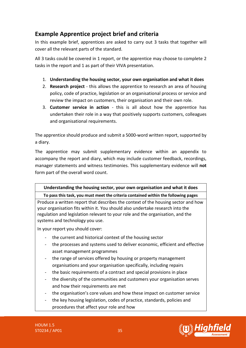### <span id="page-34-0"></span>**Example Apprentice project brief and criteria**

In this example brief, apprentices are asked to carry out 3 tasks that together will cover all the relevant parts of the standard.

All 3 tasks could be covered in 1 report, or the apprentice may choose to complete 2 tasks in the report and 1 as part of their VIVA presentation.

- 1. **Understanding the housing sector, your own organisation and what it does**
- 2. **Research project** this allows the apprentice to research an area of housing policy, code of practice, legislation or an organisational process or service and review the impact on customers, their organisation and their own role.
- 3. **Customer service in action** this is all about how the apprentice has undertaken their role in a way that positively supports customers, colleagues and organisational requirements.

The apprentice should produce and submit a 5000-word written report, supported by a diary.

The apprentice may submit supplementary evidence within an appendix to accompany the report and diary, which may include customer feedback, recordings, manager statements and witness testimonies. This supplementary evidence will **not** form part of the overall word count.

### **Understanding the housing sector, your own organisation and what it does**

### **To pass this task, you must meet the criteria contained within the following pages**

Produce a written report that describes the context of the housing sector and how your organisation fits within it. You should also undertake research into the regulation and legislation relevant to your role and the organisation, and the systems and technology you use.

In your report you should cover:

- the current and historical context of the housing sector
- the processes and systems used to deliver economic, efficient and effective asset management programmes
- the range of services offered by housing or property management organisations and your organisation specifically, including repairs
- the basic requirements of a contract and special provisions in place
- the diversity of the communities and customers your organisation serves and how their requirements are met
- the organisation's core values and how these impact on customer service
- the key housing legislation, codes of practice, standards, policies and procedures that affect your role and how

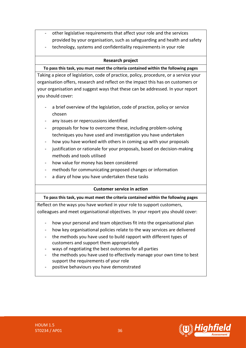- other legislative requirements that affect your role and the services provided by your organisation, such as safeguarding and health and safety
- technology, systems and confidentiality requirements in your role

### **Research project**

### **To pass this task, you must meet the criteria contained within the following pages**

Taking a piece of legislation, code of practice, policy, procedure, or a service your organisation offers, research and reflect on the impact this has on customers or your organisation and suggest ways that these can be addressed. In your report you should cover:

- a brief overview of the legislation, code of practice, policy or service chosen
- any issues or repercussions identified
- proposals for how to overcome these, including problem-solving techniques you have used and investigation you have undertaken
- how you have worked with others in coming up with your proposals
- justification or rationale for your proposals, based on decision-making methods and tools utilised
- how value for money has been considered
- methods for communicating proposed changes or information
- a diary of how you have undertaken these tasks

### **Customer service in action**

#### **To pass this task, you must meet the criteria contained within the following pages**

Reflect on the ways you have worked in your role to support customers, colleagues and meet organisational objectives. In your report you should cover:

- how your personal and team objectives fit into the organisational plan
- how key organisational policies relate to the way services are delivered
- the methods you have used to build rapport with different types of customers and support them appropriately
- ways of negotiating the best outcomes for all parties
- the methods you have used to effectively manage your own time to best support the requirements of your role
- positive behaviours you have demonstrated

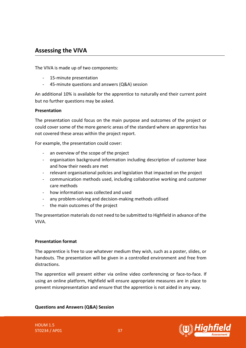### <span id="page-36-0"></span>**Assessing the VIVA**

The VIVA is made up of two components:

- 15-minute presentation
- 45-minute questions and answers (Q&A) session

An additional 10% is available for the apprentice to naturally end their current point but no further questions may be asked.

### **Presentation**

The presentation could focus on the main purpose and outcomes of the project or could cover some of the more generic areas of the standard where an apprentice has not covered these areas within the project report.

For example, the presentation could cover:

- an overview of the scope of the project
- organisation background information including description of customer base and how their needs are met
- relevant organisational policies and legislation that impacted on the project
- communication methods used, including collaborative working and customer care methods
- how information was collected and used
- any problem-solving and decision-making methods utilised
- the main outcomes of the project

The presentation materials do not need to be submitted to Highfield in advance of the VIVA.

#### **Presentation format**

The apprentice is free to use whatever medium they wish, such as a poster, slides, or handouts. The presentation will be given in a controlled environment and free from distractions.

The apprentice will present either via online video conferencing or face-to-face. If using an online platform, Highfield will ensure appropriate measures are in place to prevent misrepresentation and ensure that the apprentice is not aided in any way.

**Questions and Answers (Q&A) Session**

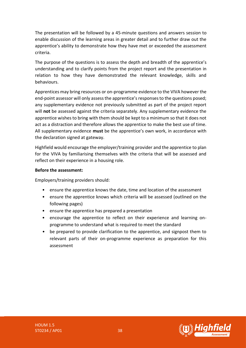The presentation will be followed by a 45-minute questions and answers session to enable discussion of the learning areas in greater detail and to further draw out the apprentice's ability to demonstrate how they have met or exceeded the assessment criteria.

The purpose of the questions is to assess the depth and breadth of the apprentice's understanding and to clarify points from the project report and the presentation in relation to how they have demonstrated the relevant knowledge, skills and behaviours.

Apprentices may bring resources or on-programme evidence to the VIVA however the end-point assessor will only assess the apprentice's responses to the questions posed; any supplementary evidence not previously submitted as part of the project report will **not** be assessed against the criteria separately. Any supplementary evidence the apprentice wishes to bring with them should be kept to a minimum so that it does not act as a distraction and therefore allows the apprentice to make the best use of time. All supplementary evidence **must** be the apprentice's own work, in accordance with the declaration signed at gateway.

Highfield would encourage the employer/training provider and the apprentice to plan for the VIVA by familiarising themselves with the criteria that will be assessed and reflect on their experience in a housing role.

### **Before the assessment:**

Employers/training providers should:

- ensure the apprentice knows the date, time and location of the assessment
- ensure the apprentice knows which criteria will be assessed (outlined on the following pages)
- ensure the apprentice has prepared a presentation
- encourage the apprentice to reflect on their experience and learning onprogramme to understand what is required to meet the standard
- be prepared to provide clarification to the apprentice, and signpost them to relevant parts of their on-programme experience as preparation for this assessment

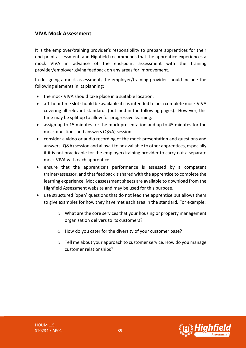### **VIVA Mock Assessment**

It is the employer/training provider's responsibility to prepare apprentices for their end-point assessment, and Highfield recommends that the apprentice experiences a mock VIVA in advance of the end-point assessment with the training provider/employer giving feedback on any areas for improvement.

In designing a mock assessment, the employer/training provider should include the following elements in its planning:

- the mock VIVA should take place in a suitable location.
- a 1-hour time slot should be available if it is intended to be a complete mock VIVA covering all relevant standards (outlined in the following pages). However, this time may be split up to allow for progressive learning.
- assign up to 15 minutes for the mock presentation and up to 45 minutes for the mock questions and answers (Q&A) session.
- consider a video or audio recording of the mock presentation and questions and answers (Q&A) session and allow it to be available to other apprentices, especially if it is not practicable for the employer/training provider to carry out a separate mock VIVA with each apprentice.
- ensure that the apprentice's performance is assessed by a competent trainer/assessor, and that feedback is shared with the apprentice to complete the learning experience. Mock assessment sheets are available to download from the Highfield Assessment website and may be used for this purpose.
- use structured 'open' questions that do not lead the apprentice but allows them to give examples for how they have met each area in the standard. For example:
	- o What are the core services that your housing or property management organisation delivers to its customers?
	- o How do you cater for the diversity of your customer base?
	- $\circ$  Tell me about your approach to customer service. How do you manage customer relationships?

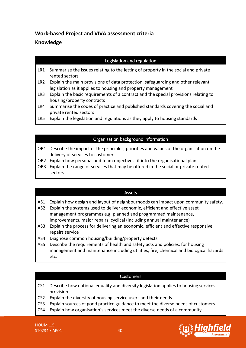### **Work-based Project and VIVA assessment criteria**

### **Knowledge**

### Legislation and regulation

- LR1 Summarise the issues relating to the letting of property in the social and private rented sectors
- LR2 Explain the main provisions of data protection, safeguarding and other relevant legislation as it applies to housing and property management
- LR3 Explain the basic requirements of a contract and the special provisions relating to housing/property contracts
- LR4 Summarise the codes of practice and published standards covering the social and private rented sectors
- LR5 Explain the legislation and regulations as they apply to housing standards

### Organisation background information

- OB1 Describe the impact of the principles, priorities and values of the organisation on the delivery of services to customers
- OB2 Explain how personal and team objectives fit into the organisational plan
- OB3 Explain the range of services that may be offered in the social or private rented sectors

### Assets

- AS1 Explain how design and layout of neighbourhoods can impact upon community safety.
- AS2 Explain the systems used to deliver economic, efficient and effective asset management programmes e.g. planned and programmed maintenance, improvements, major repairs, cyclical (including annual maintenance)
- AS3 Explain the process for delivering an economic, efficient and effective responsive repairs service
- AS4 Diagnose common housing/building/property defects
- AS5 Describe the requirements of health and safety acts and policies, for housing management and maintenance including utilities, fire, chemical and biological hazards etc.

### Customers

- CS1 Describe how national equality and diversity legislation applies to housing services provision.
- CS2 Explain the diversity of housing service users and their needs
- CS3 Explain sources of good practice guidance to meet the diverse needs of customers.
- CS4 Explain how organisation's services meet the diverse needs of a community

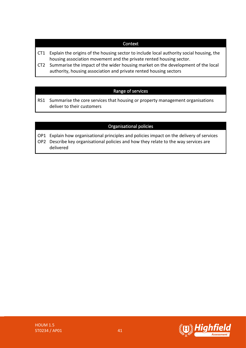### **Context**

- CT1 Explain the origins of the housing sector to include local authority social housing, the housing association movement and the private rented housing sector.
- CT2 Summarise the impact of the wider housing market on the development of the local authority, housing association and private rented housing sectors

### Range of services

RS1 Summarise the core services that housing or property management organisations deliver to their customers

### Organisational policies

- OP1 Explain how organisational principles and policies impact on the delivery of services OP2 Describe key organisational policies and how they relate to the way services are
	- delivered

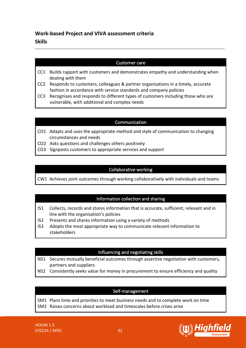### **Work-based Project and VIVA assessment criteria Skills**

### Customer care

- CC1 Builds rapport with customers and demonstrates empathy and understanding when dealing with them
- CC2 Responds to customers, colleagues & partner organisations in a timely, accurate fashion in accordance with service standards and company policies
- CC3 Recognises and responds to different types of customers including those who are vulnerable, with additional and complex needs

### Communication

- CO1 Adapts and uses the appropriate method and style of communication to changing circumstances and needs
- CO2 Asks questions and challenges others positively
- CO3 Signposts customers to appropriate services and support

### Collaborative working

CW1 Achieves joint outcomes through working collaboratively with individuals and teams

### Information collection and sharing

- IS1 Collects, records and stores information that is accurate, sufficient, relevant and in line with the organisation's policies
- IS2 Presents and shares information using a variety of methods
- IS3 Adopts the most appropriate way to communicate relevant information to stakeholders

#### Influencing and negotiating skills

- NS1 Secures mutually beneficial outcomes through assertive negotiation with customers, partners and suppliers
- NS2 Consistently seeks value for money in procurement to ensure efficiency and quality

#### Self-management

SM1 Plans time and priorities to meet business needs and to complete work on time SM2 Raises concerns about workload and timescales before crises arise

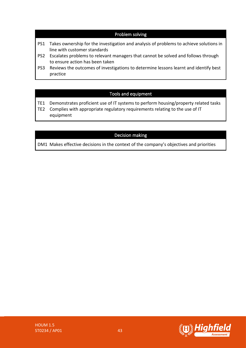### Problem solving

- PS1 Takes ownership for the investigation and analysis of problems to achieve solutions in line with customer standards
- PS2 Escalates problems to relevant managers that cannot be solved and follows through to ensure action has been taken
- PS3 Reviews the outcomes of investigations to determine lessons learnt and identify best practice

### Tools and equipment

- TE1 Demonstrates proficient use of IT systems to perform housing/property related tasks
- TE2 Complies with appropriate regulatory requirements relating to the use of IT equipment

### Decision making

DM1 Makes effective decisions in the context of the company's objectives and priorities

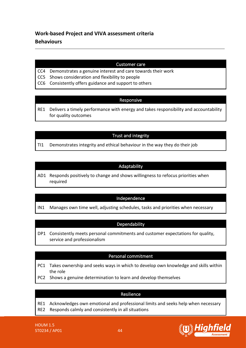### **Work-based Project and VIVA assessment criteria Behaviours**

### Customer care

- CC4 Demonstrates a genuine interest and care towards their work
- CC5 Shows consideration and flexibility to people
- CC6 Consistently offers guidance and support to others

### Responsive

RE1 Delivers a timely performance with energy and takes responsibility and accountability for quality outcomes

### Trust and integrity

TI1 Demonstrates integrity and ethical behaviour in the way they do their job

### Adaptability

AD1 Responds positively to change and shows willingness to refocus priorities when required

### Independence

IN1 Manages own time well, adjusting schedules, tasks and priorities when necessary

### **Dependability**

DP1 Consistently meets personal commitments and customer expectations for quality, service and professionalism

### Personal commitment

- PC1 Takes ownership and seeks ways in which to develop own knowledge and skills within the role
- PC2 Shows a genuine determination to learn and develop themselves

#### Resilience

- RE1 Acknowledges own emotional and professional limits and seeks help when necessary
- RE2 Responds calmly and consistently in all situations